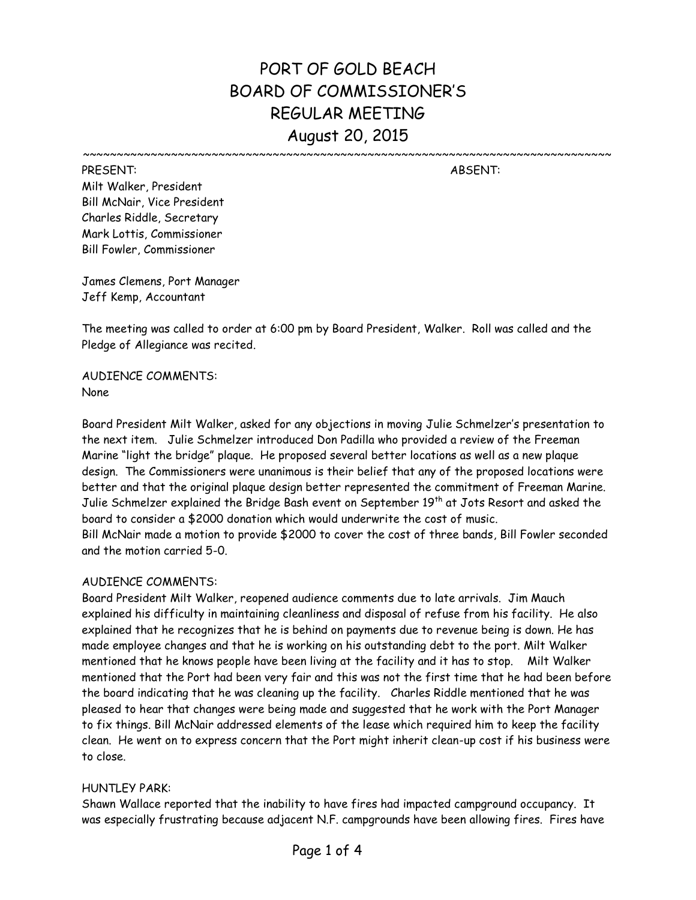# PORT OF GOLD BEACH BOARD OF COMMISSIONER'S REGULAR MEETING August 20, 2015

~~~~~~~~~~~~~~~~~~~~~~~~~~~~~~~~~~~~~~~~~~~~~~~~~~~~~~~~~~~~~~~~~~~~~~~~~~~~~~

PRESENT: ABSENT: Milt Walker, President Bill McNair, Vice President Charles Riddle, Secretary Mark Lottis, Commissioner Bill Fowler, Commissioner

James Clemens, Port Manager Jeff Kemp, Accountant

The meeting was called to order at 6:00 pm by Board President, Walker. Roll was called and the Pledge of Allegiance was recited.

AUDIENCE COMMENTS: None

Board President Milt Walker, asked for any objections in moving Julie Schmelzer's presentation to the next item. Julie Schmelzer introduced Don Padilla who provided a review of the Freeman Marine "light the bridge" plaque. He proposed several better locations as well as a new plaque design. The Commissioners were unanimous is their belief that any of the proposed locations were better and that the original plaque design better represented the commitment of Freeman Marine. Julie Schmelzer explained the Bridge Bash event on September 19<sup>th</sup> at Jots Resort and asked the board to consider a \$2000 donation which would underwrite the cost of music. Bill McNair made a motion to provide \$2000 to cover the cost of three bands, Bill Fowler seconded and the motion carried 5-0.

### AUDIENCE COMMENTS:

Board President Milt Walker, reopened audience comments due to late arrivals. Jim Mauch explained his difficulty in maintaining cleanliness and disposal of refuse from his facility. He also explained that he recognizes that he is behind on payments due to revenue being is down. He has made employee changes and that he is working on his outstanding debt to the port. Milt Walker mentioned that he knows people have been living at the facility and it has to stop. Milt Walker mentioned that the Port had been very fair and this was not the first time that he had been before the board indicating that he was cleaning up the facility. Charles Riddle mentioned that he was pleased to hear that changes were being made and suggested that he work with the Port Manager to fix things. Bill McNair addressed elements of the lease which required him to keep the facility clean. He went on to express concern that the Port might inherit clean-up cost if his business were to close.

#### HUNTLEY PARK:

Shawn Wallace reported that the inability to have fires had impacted campground occupancy. It was especially frustrating because adjacent N.F. campgrounds have been allowing fires. Fires have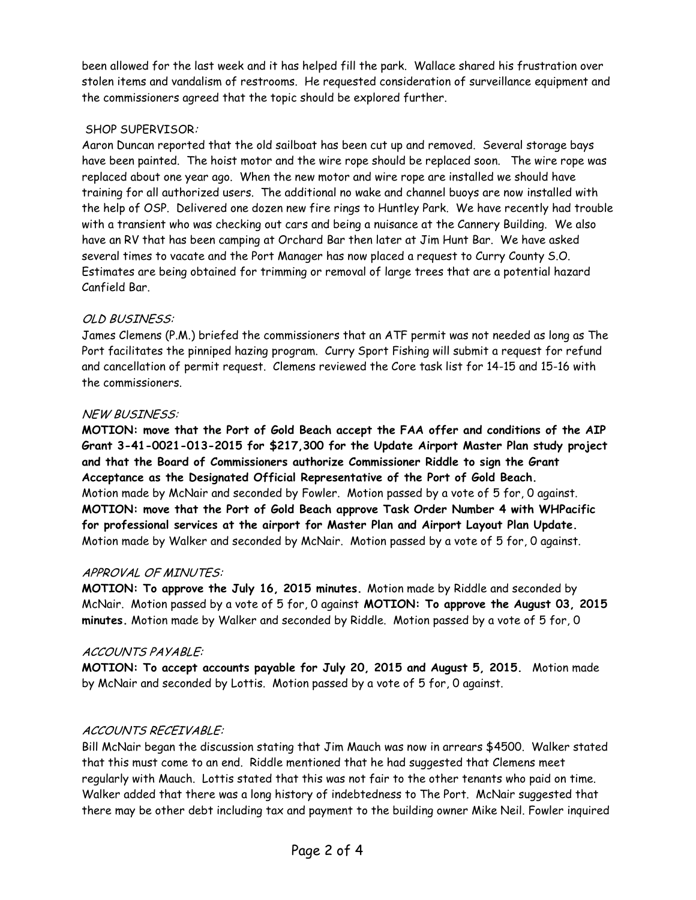been allowed for the last week and it has helped fill the park. Wallace shared his frustration over stolen items and vandalism of restrooms. He requested consideration of surveillance equipment and the commissioners agreed that the topic should be explored further.

## SHOP SUPERVISOR:

Aaron Duncan reported that the old sailboat has been cut up and removed. Several storage bays have been painted. The hoist motor and the wire rope should be replaced soon. The wire rope was replaced about one year ago. When the new motor and wire rope are installed we should have training for all authorized users. The additional no wake and channel buoys are now installed with the help of OSP. Delivered one dozen new fire rings to Huntley Park. We have recently had trouble with a transient who was checking out cars and being a nuisance at the Cannery Building. We also have an RV that has been camping at Orchard Bar then later at Jim Hunt Bar. We have asked several times to vacate and the Port Manager has now placed a request to Curry County S.O. Estimates are being obtained for trimming or removal of large trees that are a potential hazard Canfield Bar.

## OLD BUSINESS:

James Clemens (P.M.) briefed the commissioners that an ATF permit was not needed as long as The Port facilitates the pinniped hazing program. Curry Sport Fishing will submit a request for refund and cancellation of permit request. Clemens reviewed the Core task list for 14-15 and 15-16 with the commissioners.

## NEW BUSINESS:

**MOTION: move that the Port of Gold Beach accept the FAA offer and conditions of the AIP Grant 3-41-0021-013-2015 for \$217,300 for the Update Airport Master Plan study project and that the Board of Commissioners authorize Commissioner Riddle to sign the Grant Acceptance as the Designated Official Representative of the Port of Gold Beach.** Motion made by McNair and seconded by Fowler. Motion passed by a vote of 5 for, 0 against. **MOTION: move that the Port of Gold Beach approve Task Order Number 4 with WHPacific for professional services at the airport for Master Plan and Airport Layout Plan Update.** Motion made by Walker and seconded by McNair. Motion passed by a vote of 5 for, 0 against.

### APPROVAL OF MINUTES:

**MOTION: To approve the July 16, 2015 minutes.** Motion made by Riddle and seconded by McNair. Motion passed by a vote of 5 for, 0 against **MOTION: To approve the August 03, 2015 minutes.** Motion made by Walker and seconded by Riddle. Motion passed by a vote of 5 for, 0

### ACCOUNTS PAYABLE:

**MOTION: To accept accounts payable for July 20, 2015 and August 5, 2015.** Motion made by McNair and seconded by Lottis. Motion passed by a vote of 5 for, 0 against.

# ACCOUNTS RECEIVABLE:

Bill McNair began the discussion stating that Jim Mauch was now in arrears \$4500. Walker stated that this must come to an end. Riddle mentioned that he had suggested that Clemens meet regularly with Mauch. Lottis stated that this was not fair to the other tenants who paid on time. Walker added that there was a long history of indebtedness to The Port. McNair suggested that there may be other debt including tax and payment to the building owner Mike Neil. Fowler inquired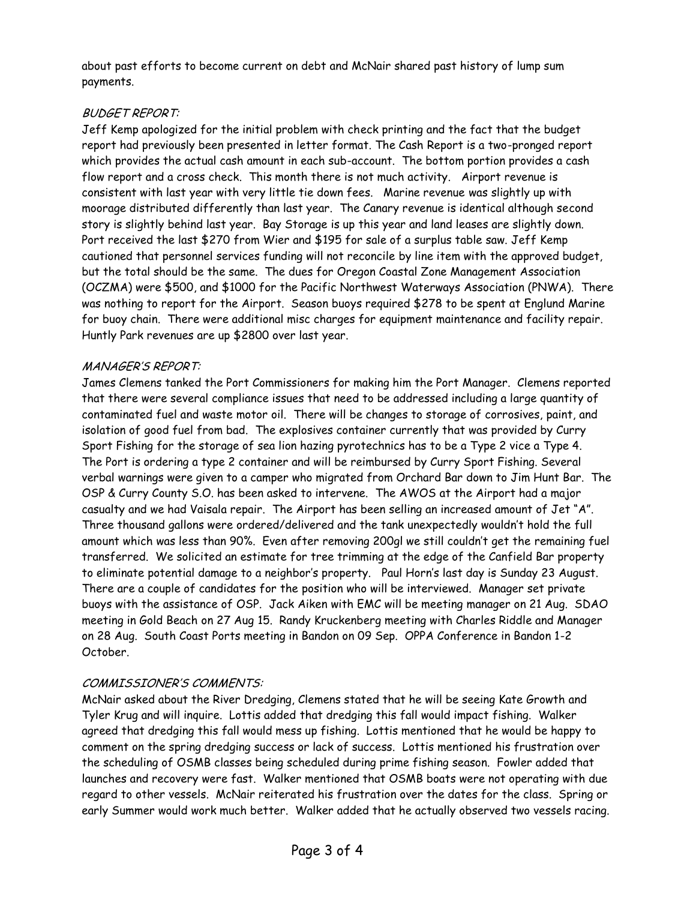about past efforts to become current on debt and McNair shared past history of lump sum payments.

## BUDGET REPORT:

Jeff Kemp apologized for the initial problem with check printing and the fact that the budget report had previously been presented in letter format. The Cash Report is a two-pronged report which provides the actual cash amount in each sub-account. The bottom portion provides a cash flow report and a cross check. This month there is not much activity. Airport revenue is consistent with last year with very little tie down fees. Marine revenue was slightly up with moorage distributed differently than last year. The Canary revenue is identical although second story is slightly behind last year. Bay Storage is up this year and land leases are slightly down. Port received the last \$270 from Wier and \$195 for sale of a surplus table saw. Jeff Kemp cautioned that personnel services funding will not reconcile by line item with the approved budget, but the total should be the same. The dues for Oregon Coastal Zone Management Association (OCZMA) were \$500, and \$1000 for the Pacific Northwest Waterways Association (PNWA). There was nothing to report for the Airport. Season buoys required \$278 to be spent at Englund Marine for buoy chain. There were additional misc charges for equipment maintenance and facility repair. Huntly Park revenues are up \$2800 over last year.

### MANAGER'S REPORT:

James Clemens tanked the Port Commissioners for making him the Port Manager. Clemens reported that there were several compliance issues that need to be addressed including a large quantity of contaminated fuel and waste motor oil. There will be changes to storage of corrosives, paint, and isolation of good fuel from bad. The explosives container currently that was provided by Curry Sport Fishing for the storage of sea lion hazing pyrotechnics has to be a Type 2 vice a Type 4. The Port is ordering a type 2 container and will be reimbursed by Curry Sport Fishing. Several verbal warnings were given to a camper who migrated from Orchard Bar down to Jim Hunt Bar. The OSP & Curry County S.O. has been asked to intervene. The AWOS at the Airport had a major casualty and we had Vaisala repair. The Airport has been selling an increased amount of Jet "A". Three thousand gallons were ordered/delivered and the tank unexpectedly wouldn't hold the full amount which was less than 90%. Even after removing 200gl we still couldn't get the remaining fuel transferred. We solicited an estimate for tree trimming at the edge of the Canfield Bar property to eliminate potential damage to a neighbor's property. Paul Horn's last day is Sunday 23 August. There are a couple of candidates for the position who will be interviewed. Manager set private buoys with the assistance of OSP. Jack Aiken with EMC will be meeting manager on 21 Aug. SDAO meeting in Gold Beach on 27 Aug 15. Randy Kruckenberg meeting with Charles Riddle and Manager on 28 Aug. South Coast Ports meeting in Bandon on 09 Sep. OPPA Conference in Bandon 1-2 October.

# COMMISSIONER'S COMMENTS:

McNair asked about the River Dredging, Clemens stated that he will be seeing Kate Growth and Tyler Krug and will inquire. Lottis added that dredging this fall would impact fishing. Walker agreed that dredging this fall would mess up fishing. Lottis mentioned that he would be happy to comment on the spring dredging success or lack of success. Lottis mentioned his frustration over the scheduling of OSMB classes being scheduled during prime fishing season. Fowler added that launches and recovery were fast. Walker mentioned that OSMB boats were not operating with due regard to other vessels. McNair reiterated his frustration over the dates for the class. Spring or early Summer would work much better. Walker added that he actually observed two vessels racing.